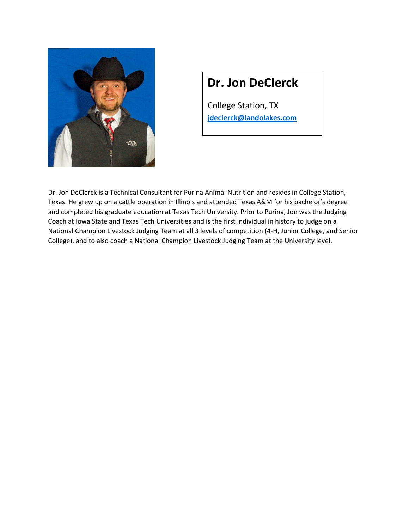

### **Dr. Jon DeClerck**

College Station, TX **[jdeclerck@landolakes.com](mailto:jdeclerck@landolakes.com)**

Dr. Jon DeClerck is a Technical Consultant for Purina Animal Nutrition and resides in College Station, Texas. He grew up on a cattle operation in Illinois and attended Texas A&M for his bachelor's degree and completed his graduate education at Texas Tech University. Prior to Purina, Jon was the Judging Coach at Iowa State and Texas Tech Universities and is the first individual in history to judge on a National Champion Livestock Judging Team at all 3 levels of competition (4-H, Junior College, and Senior College), and to also coach a National Champion Livestock Judging Team at the University level.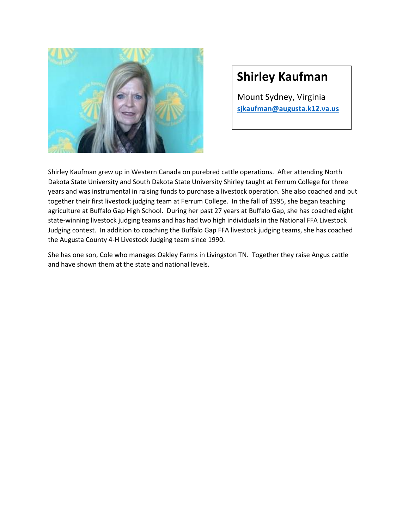

#### **Shirley Kaufman**

Mount Sydney, Virginia **[sjkaufman@augusta.k12.va.us](mailto:sjkaufman@augusta.k12.va.us)**

Shirley Kaufman grew up in Western Canada on purebred cattle operations. After attending North Dakota State University and South Dakota State University Shirley taught at Ferrum College for three years and was instrumental in raising funds to purchase a livestock operation. She also coached and put together their first livestock judging team at Ferrum College. In the fall of 1995, she began teaching agriculture at Buffalo Gap High School. During her past 27 years at Buffalo Gap, she has coached eight state-winning livestock judging teams and has had two high individuals in the National FFA Livestock Judging contest. In addition to coaching the Buffalo Gap FFA livestock judging teams, she has coached the Augusta County 4-H Livestock Judging team since 1990.

She has one son, Cole who manages Oakley Farms in Livingston TN. Together they raise Angus cattle and have shown them at the state and national levels.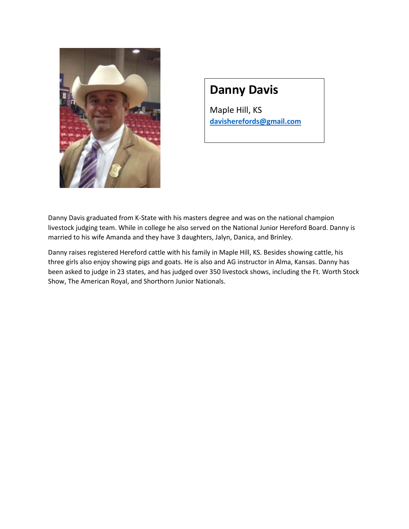

## **Danny Davis**

Maple Hill, KS **[davisherefords@gmail.com](mailto:davisherefords@gmail.com)**

Danny Davis graduated from K-State with his masters degree and was on the national champion livestock judging team. While in college he also served on the National Junior Hereford Board. Danny is married to his wife Amanda and they have 3 daughters, Jalyn, Danica, and Brinley.

Danny raises registered Hereford cattle with his family in Maple Hill, KS. Besides showing cattle, his three girls also enjoy showing pigs and goats. He is also and AG instructor in Alma, Kansas. Danny has been asked to judge in 23 states, and has judged over 350 livestock shows, including the Ft. Worth Stock Show, The American Royal, and Shorthorn Junior Nationals.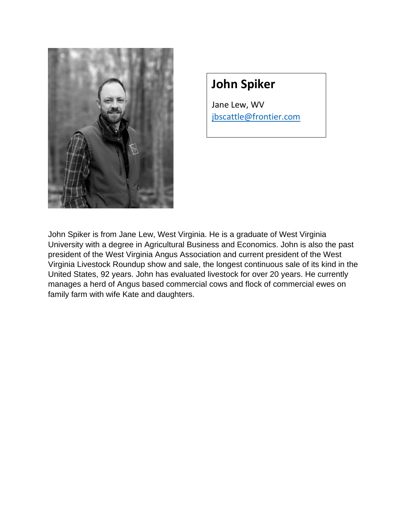

### **John Spiker**

Jane Lew, WV jbscattle@frontier.com

John Spiker is from Jane Lew, West Virginia. He is a graduate of West Virginia University with a degree in Agricultural Business and Economics. John is also the past president of the West Virginia Angus Association and current president of the West Virginia Livestock Roundup show and sale, the longest continuous sale of its kind in the United States, 92 years. John has evaluated livestock for over 20 years. He currently manages a herd of Angus based commercial cows and flock of commercial ewes on family farm with wife Kate and daughters.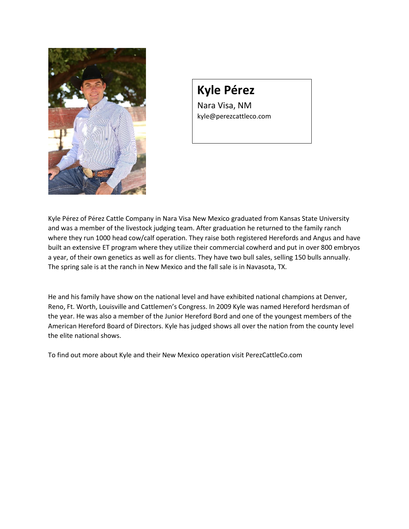

# **Kyle Pérez**

Nara Visa, NM kyle@perezcattleco.com

Kyle Pérez of Pérez Cattle Company in Nara Visa New Mexico graduated from Kansas State University and was a member of the livestock judging team. After graduation he returned to the family ranch where they run 1000 head cow/calf operation. They raise both registered Herefords and Angus and have built an extensive ET program where they utilize their commercial cowherd and put in over 800 embryos a year, of their own genetics as well as for clients. They have two bull sales, selling 150 bulls annually. The spring sale is at the ranch in New Mexico and the fall sale is in Navasota, TX.

He and his family have show on the national level and have exhibited national champions at Denver, Reno, Ft. Worth, Louisville and Cattlemen's Congress. In 2009 Kyle was named Hereford herdsman of the year. He was also a member of the Junior Hereford Bord and one of the youngest members of the American Hereford Board of Directors. Kyle has judged shows all over the nation from the county level the elite national shows.

To find out more about Kyle and their New Mexico operation visit PerezCattleCo.com